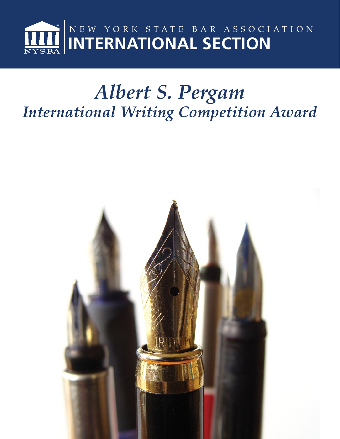

## *Albert S. Pergam International Writing Competition Award*

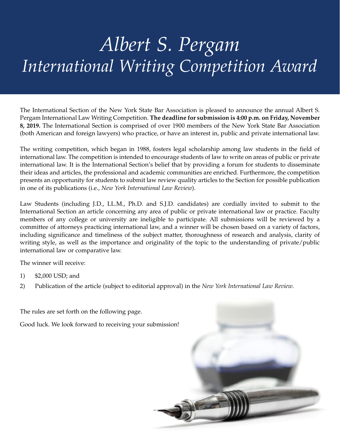# *Albert S. Pergam International Writing Competition Award*

The International Section of the New York State Bar Association is pleased to announce the annual Albert S. Pergam International Law Writing Competition. **The deadline for submission is 4:00 p.m. on Friday, November 8, 2019.** The International Section is comprised of over 1900 members of the New York State Bar Association (both American and foreign lawyers) who practice, or have an interest in, public and private international law.

The writing competition, which began in 1988, fosters legal scholarship among law students in the field of international law. The competition is intended to encourage students of law to write on areas of public or private international law. It is the International Section's belief that by providing a forum for students to disseminate their ideas and articles, the professional and academic communities are enriched. Furthermore, the competition presents an opportunity for students to submit law review quality articles to the Section for possible publication in one of its publications (i.e., *New York International Law Review*).

Law Students (including J.D., LL.M., Ph.D. and S.J.D. candidates) are cordially invited to submit to the International Section an article concerning any area of public or private international law or practice. Faculty members of any college or university are ineligible to participate. All submissions will be reviewed by a committee of attorneys practicing international law, and a winner will be chosen based on a variety of factors, including significance and timeliness of the subject matter, thoroughness of research and analysis, clarity of writing style, as well as the importance and originality of the topic to the understanding of private/public international law or comparative law.

The winner will receive:

- 1) \$2,000 USD; and
- 2) Publication of the article (subject to editorial approval) in the *New York International Law Review*.

The rules are set forth on the following page.

Good luck. We look forward to receiving your submission!

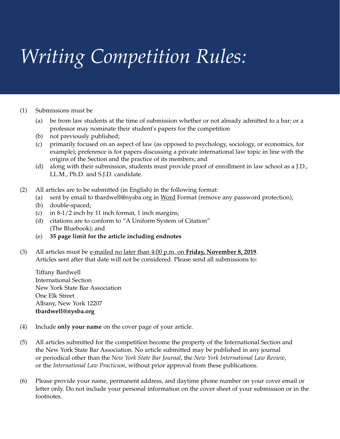# *Writing Competition Rules:*

#### (1) Submissions must be

- (a) be from law students at the time of submission whether or not already admitted to a bar; or a professor may nominate their student's papers for the competition
- (b) not previously published;
- (c) primarily focused on an aspect of law (as opposed to psychology, sociology, or economics, for example); preference is for papers discussing a private international law topic in line with the origins of the Section and the practice of its members; and
- (d) along with their submission, students must provide proof of enrollment in law school as a J.D., LL.M., Ph.D. and S.J.D. candidate.
- (2) All articles are to be submitted (in English) in the following format:
	- (a) sent by email to tbardwell@nysba.org in Word Format (remove any password protection);
	- (b) double-spaced;
	- (c) in 8-1/2 inch by 11 inch format, 1 inch margins;
	- (d) citations are to conform to "A Uniform System of Citation" (The Bluebook); and
	- (e) **35 page limit for the article including endnotes**
- (3) All articles must be e-mailed no later than 4:00 p.m. on **Friday, November 8, 2019**. Articles sent after that date will not be considered. Please send all submissions to:

Tiffany Bardwell International Section New York State Bar Association One Elk Street Albany, New York 12207 **tbardwell@nysba.org**

- (4) Include **only your name** on the cover page of your article.
- (5) All articles submitted for the competition become the property of the International Section and the New York State Bar Association. No article submitted may be published in any journal or periodical other than the *New York State Bar Journal*, the *New York International Law Review*, or the *International Law Practicum*, without prior approval from these publications.
- (6) Please provide your name, permanent address, and daytime phone number on your cover email or letter only. Do not include your personal information on the cover sheet of your submission or in the footnotes.